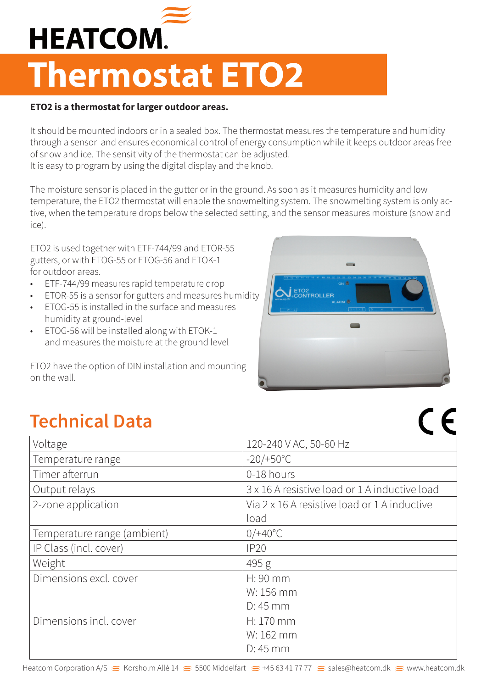

## **Thermostat ETO2**

## **ETO2 is a thermostat for larger outdoor areas.**

It should be mounted indoors or in a sealed box. The thermostat measures the temperature and humidity through a sensor and ensures economical control of energy consumption while it keeps outdoor areas free of snow and ice. The sensitivity of the thermostat can be adjusted. It is easy to program by using the digital display and the knob.

The moisture sensor is placed in the gutter or in the ground. As soon as it measures humidity and low temperature, the ETO2 thermostat will enable the snowmelting system. The snowmelting system is only active, when the temperature drops below the selected setting, and the sensor measures moisture (snow and ice).

ETO2 is used together with ETF-744/99 and ETOR-55 gutters, or with ETOG-55 or ETOG-56 and ETOK-1 for outdoor areas.

- ETF-744/99 measures rapid temperature drop
- ETOR-55 is a sensor for gutters and measures humidity
- ETOG-55 is installed in the surface and measures humidity at ground-level
- ETOG-56 will be installed along with ETOK-1 and measures the moisture at the ground level

ETO2 have the option of DIN installation and mounting on the wall.



 $C$ 

## **Technical Data**

| Voltage                     | 120-240 V AC, 50-60 Hz                        |  |  |
|-----------------------------|-----------------------------------------------|--|--|
| Temperature range           | $-20/+50°C$                                   |  |  |
| Timer afterrun              | 0-18 hours                                    |  |  |
| Output relays               | 3 x 16 A resistive load or 1 A inductive load |  |  |
| 2-zone application          | Via 2 x 16 A resistive load or 1 A inductive  |  |  |
|                             | load                                          |  |  |
| Temperature range (ambient) | $0/+40°C$                                     |  |  |
| IP Class (incl. cover)      | IP20                                          |  |  |
| Weight                      | 495 g                                         |  |  |
| Dimensions excl. cover      | H: 90 mm                                      |  |  |
|                             | W: 156 mm                                     |  |  |
|                             | $D:45$ mm                                     |  |  |
| Dimensions incl. cover      | H: 170 mm                                     |  |  |
|                             | W: 162 mm                                     |  |  |
|                             | $D:45$ mm                                     |  |  |
|                             |                                               |  |  |